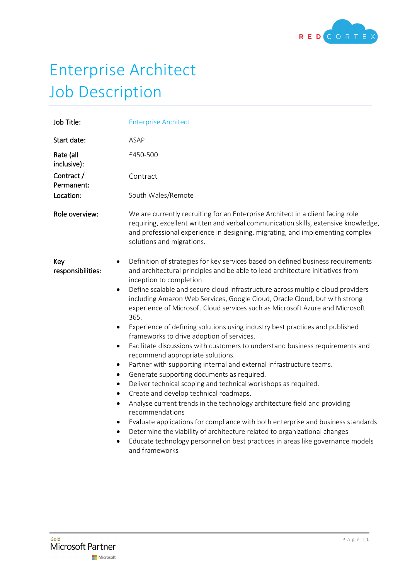

## Enterprise Architect Job Description

| Job Title:                                                                            | <b>Enterprise Architect</b>                                                                                                                                                                                                                                                                                                                                                                                                                                                                                                                                                                                                                                                                                                                                                                                                                                                                                                                                                                                                                                                                                                                                                                                                                                                                                    |
|---------------------------------------------------------------------------------------|----------------------------------------------------------------------------------------------------------------------------------------------------------------------------------------------------------------------------------------------------------------------------------------------------------------------------------------------------------------------------------------------------------------------------------------------------------------------------------------------------------------------------------------------------------------------------------------------------------------------------------------------------------------------------------------------------------------------------------------------------------------------------------------------------------------------------------------------------------------------------------------------------------------------------------------------------------------------------------------------------------------------------------------------------------------------------------------------------------------------------------------------------------------------------------------------------------------------------------------------------------------------------------------------------------------|
| Start date:                                                                           | ASAP                                                                                                                                                                                                                                                                                                                                                                                                                                                                                                                                                                                                                                                                                                                                                                                                                                                                                                                                                                                                                                                                                                                                                                                                                                                                                                           |
| Rate (all<br>inclusive):                                                              | £450-500                                                                                                                                                                                                                                                                                                                                                                                                                                                                                                                                                                                                                                                                                                                                                                                                                                                                                                                                                                                                                                                                                                                                                                                                                                                                                                       |
| Contract /<br>Permanent:                                                              | Contract                                                                                                                                                                                                                                                                                                                                                                                                                                                                                                                                                                                                                                                                                                                                                                                                                                                                                                                                                                                                                                                                                                                                                                                                                                                                                                       |
| Location:                                                                             | South Wales/Remote                                                                                                                                                                                                                                                                                                                                                                                                                                                                                                                                                                                                                                                                                                                                                                                                                                                                                                                                                                                                                                                                                                                                                                                                                                                                                             |
| Role overview:                                                                        | We are currently recruiting for an Enterprise Architect in a client facing role<br>requiring, excellent written and verbal communication skills, extensive knowledge,<br>and professional experience in designing, migrating, and implementing complex<br>solutions and migrations.                                                                                                                                                                                                                                                                                                                                                                                                                                                                                                                                                                                                                                                                                                                                                                                                                                                                                                                                                                                                                            |
| Key<br>٠<br>responsibilities:<br>٠<br>٠<br>$\bullet$<br>٠<br>٠<br>٠<br>٠<br>$\bullet$ | Definition of strategies for key services based on defined business requirements<br>and architectural principles and be able to lead architecture initiatives from<br>inception to completion<br>Define scalable and secure cloud infrastructure across multiple cloud providers<br>including Amazon Web Services, Google Cloud, Oracle Cloud, but with strong<br>experience of Microsoft Cloud services such as Microsoft Azure and Microsoft<br>365.<br>Experience of defining solutions using industry best practices and published<br>frameworks to drive adoption of services.<br>Facilitate discussions with customers to understand business requirements and<br>recommend appropriate solutions.<br>Partner with supporting internal and external infrastructure teams.<br>Generate supporting documents as required.<br>Deliver technical scoping and technical workshops as required.<br>Create and develop technical roadmaps.<br>Analyse current trends in the technology architecture field and providing<br>recommendations<br>Evaluate applications for compliance with both enterprise and business standards<br>Determine the viability of architecture related to organizational changes<br>Educate technology personnel on best practices in areas like governance models<br>and frameworks |
|                                                                                       |                                                                                                                                                                                                                                                                                                                                                                                                                                                                                                                                                                                                                                                                                                                                                                                                                                                                                                                                                                                                                                                                                                                                                                                                                                                                                                                |